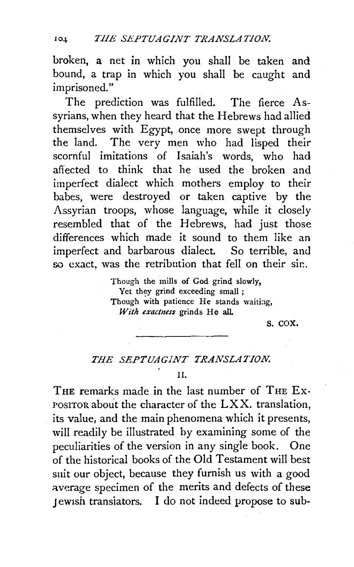broken, a net in which you shall be taken and bound, a trap in which you shall be caught and imprisoned."

The prediction was fulfilled. The fierce Assyrians, when they heard that the Hebrews had allied themselves with Egypt, once more swept through the land. The very men who had lisped their scornful imitations of Isaiah's words, who had affected to think that he used the broken and imperfect dialect which mothers employ to their babes, were destroyed or taken captive by the Assyrian troops, whose language, while it closely resembled that of the Hebrews, had just those differences which made it sound to them like an imperfect and barbarous dialect. So terrible, and so exact, was the retribution that fell on their sin.

> Though the mills of God grind slowly, Yet they grind exceeding small : Though with patience He stands waiting, *With exactness* grinds He all.

> > s. cox.

# *THE SEPTUAGJNT TRANSLATION.*

II.

THE remarks made in the last number of THE Ex-POSITOR about the character of the LXX. translation, its value, and the main phenomena which it presents, will readily be illustrated by examining some of the peculiarities of the version in any single book. One of the historical books of the Old Testament will best suit our object, because they furnish us with a good average specimen of the merits and defects of these Jewish translators. I do not indeed propose to sub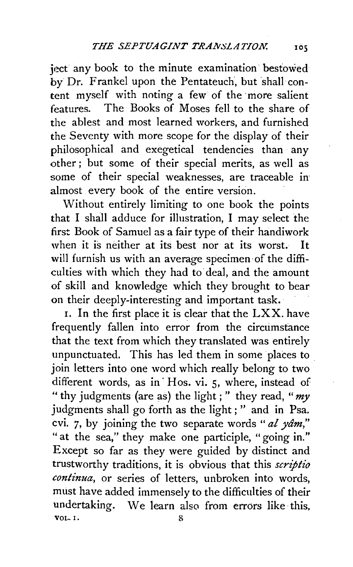ject any book to the minute examination bestowed by Dr. Frankel upon the Pentateuch, but shall content myself with noting a few of the more salient features. The Books of Moses fell to the share of the ablest and most learned workers, and furnished the Seventy with more scope for the display of their philosophical and exegetical tendencies than any other ; but some of their special merits, as well as some of their special weaknesses, are traceable in almost every book of the entire version.

Without entirely limiting to one book the points that I shall adduce for illustration, I may select the first Book of Samuel as a fair type of their handiwork when it is neither at its best nor at its worst. It will furnish us with an average specimen of the difficulties with which they had to deal, and the amount of skill and knowledge which they brought to bear on their deeply-interesting and important task.

1. In the first place it is clear that the LXX. have frequently fallen into error from the circumstance that the text from which they translated was entirely unpunctuated. This has led them in some places to . join letters into one word which really belong to two different words, as in Hos. vi. 5, where, instead of "thy judgments (are as) the light;" they read, *"my*  judgments shall go forth as the light ; " and in Psa. cvi. 7, by joining the two separate words *"al yam,"*  " at the sea," they make one participle, "going in." Except so far as they were guided by distinct and trustworthy traditions, it is obvious that this *scriptio continua,* or series of letters, unbroken into words, must have added immensely to the difficulties of their undertaking. We learn also from errors like this, vol. I.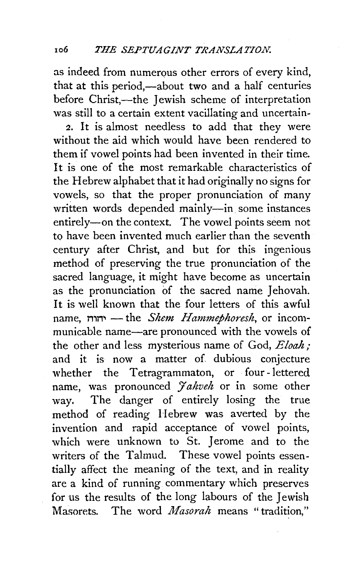as indeed from numerous other errors of every kind, that at this period,-about two and a half centuries before Christ,—the Jewish scheme of interpretation was still to a certain extent vacillating and uncertain-

2. It is almost needless to add that they were without the aid which would have been rendered to them if vowel points had been invented in their time. It is one of the most remarkable characteristics of the Hebrew alphabet that it had originally no signs for vowels, so that the proper pronunciation of many written words depended mainly-in some instances entirely-on the context. The vowel points seem not to have been invented much earlier than the seventh century after Christ, and but for this ingenious method of preserving the true pronunciation of the sacred language, it might have become as uncertain as the pronunciation of the sacred name Jehovah. It is well known that the four letters of this awful name, n,n,-the *Shem Hammephoresh,* or incommunicable name—are pronounced with the vowels of the other and less mysterious name of God, *Eloah;*  and it is now a matter of dubious conjecture whether the Tetragrammaton, or four -lettered name, was pronounced *Jahveh* or in some other way. The danger of entirely losing the true method of reading Hebrew was averted by the invention and rapid acceptance of vowel points, which were unknown to St. Jerome and to the writers of the Talmud. These vowel points essentially affect the meaning of the text, and in reality are a kind of running commentary which preserves for us the results of the long labours of the Jewish Masorets. The word *Masorah* means " tradition,"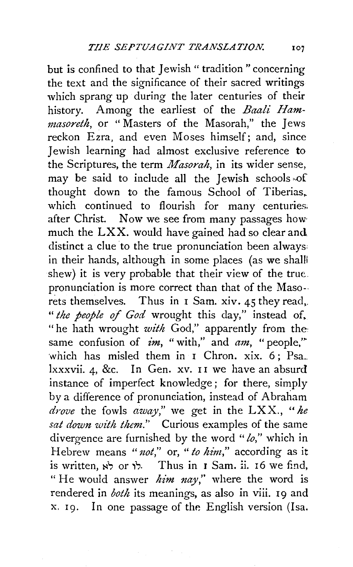but is confined to that Jewish "tradition" concerning the text and the significance of their sacred writings which sprang up during the later centuries of their history. Among the earliest of the *Baali Hammasoreth,* or " Masters of the Masorah," the Jews reckon Ezra, and even Moses himself; and, since Jewish learning had almost exclusive reference to the Scriptures, the term *Masorah,* in its wider sense, may be said to include all the Jewish schools of thought down to the famous School of Tiberias,. which continued to flourish for many centuries. after Christ. Now we see from many passages how much the LXX. would have gained had so clear and distinct a clue to the true pronunciation been always: in their hands, although in some places (as we shall shew) it is very probable that their view of the true.. pronunciation is more correct than that of the Maso- rets themselves. Thus in 1 Sam. xiv. 45 they read,. " *the people of God* wrought this day," instead of. "he hath wrought *with* God," apparently from the: same confusion of *im*, "with," and *am*, "people," which has misled them in I Chron. xix.  $6:$  Psa.. lxxxvii.  $\alpha$ , &c. In Gen. xv. II we have an absurd instance of imperfect knowledge; for there, simply by a difference of pronunciation, instead of Abraham *drove* the fowls *away,"* we get in the LXX., *"he sat down with them."* Curious examples of the same divergence are furnished by the word *"lo,"* which in Hebrew means *"1zot,"* or, *"to him,"* according as it  $i$ s written,  $\forall$  or  $\forall$ . Thus in 1 Sam. ii. 16 we find, " He would answer *him nay,''* where the word is rendered in *both* its meanings, as also in viii. 19 and x. 19. In one passage of the English version (Isa.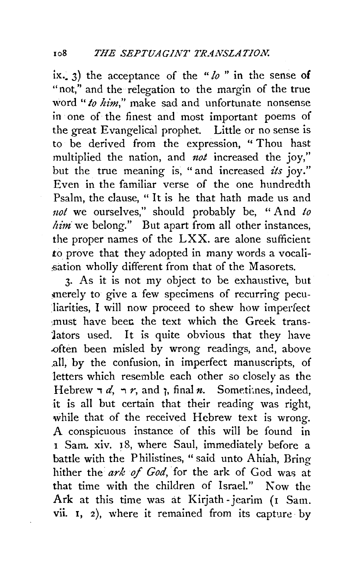ix.  $\alpha$  3) the acceptance of the "*lo*" in the sense of "not," and the relegation to the margin of the true word "*to him*," make sad and unfortunate nonsense in one of the finest and most important poems of the great Evangelical prophet. Little or no sense is to be derived from the expression, " Thou hast multiplied the nation, and *not* increased the joy," but the true meaning is, "and increased *its* joy." Even in the familiar verse of the one hundredth Psalm, the clause, " It is he that hath made us and not we ourselves," should probably be, "And to *him* we belong." But apart from all other instances, the proper names of the LXX. are alone sufficient to prove that they adopted in many words a vocali sation wholly different from that of the Masorets.

3· As it is not my object to be exhaustive, but merely to give a few specimens of recurring peculiarities, I will now proceed to shew how imperfect must have been the text which the Greek translators used. It is quite obvious that they have .often been misled by wrong readings, and, above .all, by the confusion, in imperfect manuscripts, of letters which resemble each other so closely as the Hebrew  $\neg d$ ,  $\neg r$ , and  $\gamma$ , final *n*. Sometiones, indeed, it is all but certain that their reading was right, while that of the received Hebrew text is wrong. A conspicuous instance of this will be found in <sup>I</sup>Sam. xiv. 18, where Saul, immediately before a battle with the Philistines, "said unto Ahiah, Bring hither the ark of God, for the ark of God was at that time with the children of Israel." Now the Ark at this time was at Kirjath-jearim (1 Sam. vii. I, 2), where it remained from its capture· by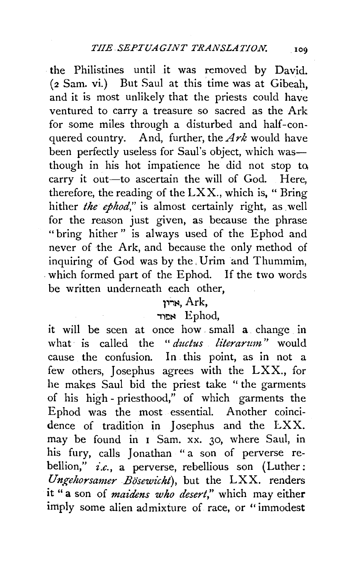the Philistines until it was removed by David. (2 Sam. vi.) But Saul at this time was at Gibeah, and it is most unlikely that the priests could have ventured to carry a treasure so sacred as the Ark for some miles through a disturbed and half-conquered country. And, further, the *Ark* would have been perfectly useless for Saul's object, which wasthough in his hot impatience he did not stop to. carry it out-to ascertain the will of God. Here, therefore, the reading of the  $LXX$ ., which is, "Bring hither *the ephod*," is almost certainly right, as well for the reason just given, as because the phrase "bring hither" is always used of the Ephod and never of the Ark, and because the only method of inquiring of God was by the. Urim and Thummim, . which formed part of the Ephod. If the two words be written underneath each other,

# 1~.,~. Ark,

## ,,~~ Ephod,

it will be seen at once how . small a change in what is called the "*ductus literarum*" would cause the confusion. In this point, as in not a few others, Josephus agrees with the  $LXX$ , for he makes Saul bid the priest take " the garments of his high- priesthood," of which garments the Ephod was the most essential. Another coincidence of tradition in Josephus and the LXX. may be found in 1 Sam. xx. 30, where Saul, in his fury, calls Jonathan " a son of perverse rebellion," *i.e.*, a perverse, rebellious son (Luther: *Ungehorsamer Bo'sewicht),* but the LXX. renders it "a son of *maidens who desert*," which may either imply some alien admixture of race, or "immodest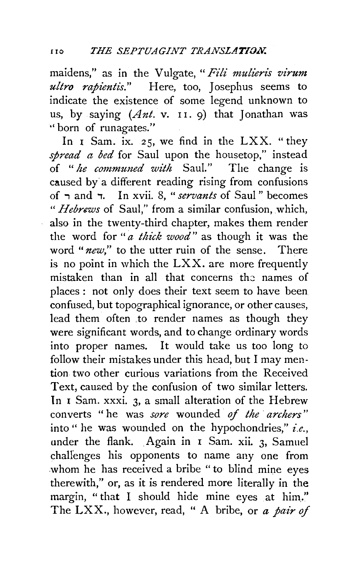maidens," as in the Vulgate, "Fili mulieris virum *ultro rapientis.*" Here, too, Josephus seems to indicate the existence of some legend unknown to us, by saying *(Ant.* v. 11. 9) that Jonathan was ''born of runagates."

In  $I$  Sam. ix. 25, we find in the LXX. "they *spread a bed* for Saul upon the housetop," instead of " *he communed wi'th* Saul." The change is caused by a different reading rising from confusions of ; and ,, In xvii. 8, *"servants* of Saul" becomes *"Hebrews* of Saul," from a similar confusion, which, also in the twenty-third chapter, makes them render the word for *"a thick wood"* as though it was the word "*new*," to the utter ruin of the sense. There is no point in which the LXX. are more frequently mistaken than in all that concerns the names of places: not only does their text seem to have been confused, but topographical ignorance, or other causes, lead them often to render names as though they were significant words, and to change ordinary words into proper names. It would take us too long to follow their mistakes under this head, but I may mention two other curious variations from the Received Text, caused by the confusion of two similar letters. ln I Sam. xxxi. 3, a small alteration of the Hebrew converts " he was *sore* wounded *of the archers"*  into " he was wounded on the hypochondries," *i.e.*, under the flank. Again in I Sam. xii. 3, Samuel chaUenges his opponents to name any one from whom he has received a bribe "to blind mine eyes therewith," or, as it is rendered more literally in the margin, " that I should hide mine eyes at him." The LXX., however, read, " A bribe, or *a pair of*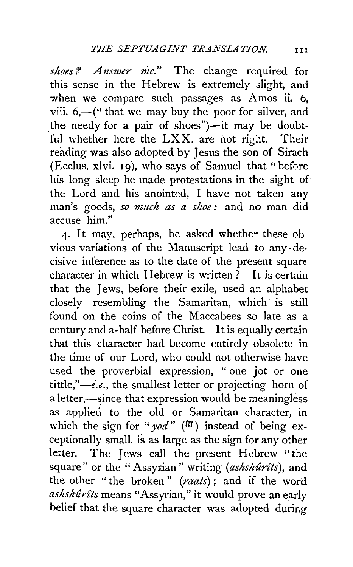*shoes? Answer me."* The change required for this sense in the Hebrew is extremely slight, and when we compare such passages as Amos ii. 6, viii.  $6,-$  (" that we may buy the poor for silver, and the needy for a pair of shoes" $)$ —it may be doubtful whether here the LXX. are not right. Their reading was also adopted by Jesus the son of Sirach (Ecclus. xlvi. 19), who says of Samuel that "before his long sleep he made protestations in the sight of the Lord and his anointed, I have not taken any man's goods, so much as a shoe: and no man did accuse him."

4· It may, perhaps, be asked whether these obvious variations of the Manuscript lead to any· de· cisive inference as to the date of the present square character in which Hebrew is written? It is certain that the Jews, before their exile, used an alphabet closely resembling the Samaritan, which is still found on the coins of the Maccabees so late as a century and a-half before Christ. It is equally certain that this character had become entirely obsolete in the time of our Lord, who could not otherwise have used the proverbial expression, " one jot or one tittle,"-i.e., the smallest letter or projecting horn of a letter,—since that expression would be meaningless as applied to the old or Samaritan character, in which the sign for " $yod$ " ( $\pi$ ) instead of being exceptionally small, is as large as the sign for any other letter. The Jews call the present Hebrew "the square" or the "Assyrian" writing (ashshurits), and the other "the broken " *(raats)* ; and if the word *ashshurtts* means "Assyrian," it would prove an early belief that the square character was adopted during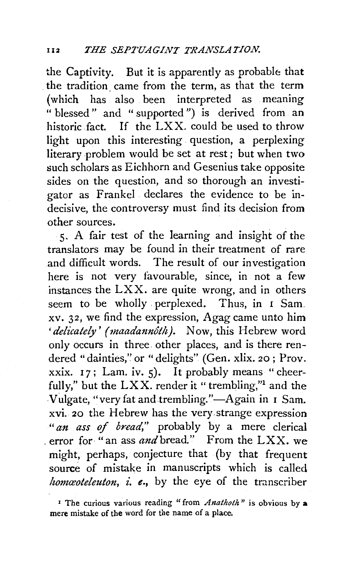the Captivity. But it is apparently as probable that the tradition. came from the term, as that the term (which has also been interpreted as meaning " blessed" and "supported") is derived from an historic fact. If the LXX. could be used to throw light upon this interesting question, a perplexing literary problem would be set at rest; but when two such scholars as Eichhorn and Gesenius take opposite sides on the question, and so thorough an investigator as Frankel declares the evidence to be indecisive, the controversy must find its decision from other sources.

5· A fair test of the learning and insight of the translators may be found in their treatment of rare and difficult words. The result of our investigation here is not very favourable, since, in not a few instances the LXX. are quite wrong, and in others seem to be wholly perplexed. Thus, in I Sam. xv. 32; we find the expression, Agag came unto him 'delicately' (maadannôth). Now, this Hebrew word only occurs in three other places, and is there rendered "dainties," or "delights" (Gen. xlix. 20; Prov. xxix. 17; Lam. iv. 5). It probably means "cheerfully," but the  $LXX$ . render it " trembling,"<sup>1</sup> and the Vulgate, "very fat and trembling."-Again in 1 Sam. xvi. 20 the Hebrew has the very.strange expression *"an ass of bread,"* probably by a mere clerical , error for "an ass *and* bread." From the LXX. we might, perhaps, conjecture that (by that frequent source of mistake in manuscripts which is called *homcoteleuton, i. e.*, by the eye of the transcriber

<sup>1</sup> The curious various reading "from *Anathoth*" is obvious by a mere mistake of the word for the name of a place.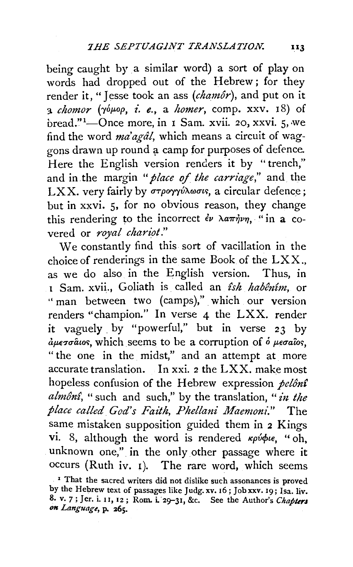being caught by a similar word) a sort of play on words had dropped out of the Hebrew; for they render it, "I esse took an ass *(chamôr)*, and put on it  $\alpha$  *chomor* ( $\gamma \phi \mu \circ \rho$ , *i. e.*, a *homer*, comp. xxv. 18) of bread."<sup>1</sup>—Once more, in 1 Sam. xvii. 20, xxvi. 5, we find the word *ma'agdl,* which means a circuit of waggons drawn up round a camp for purposes of defence. Here the English version renders it by "trench," and in the margin *"place of the carriage,"* and the LXX. very fairly by στρογγύλωσις, a circular defence; but in xxvi. 5, for no obvious reason, they change this rendering to the incorrect  $\epsilon \nu \lambda a \pi \dot{\eta} \nu \eta$ , " in a covered or *royal chariot.*"

We constantly find this sort of vacillation in the choice of renderings in the same Book of the LXX., as we do also in the English version. Thus, in 1 Sam. xvii., Goliath is called an *£sh habenfm,* or " man between two (camps)," which our version renders ''champion." In verse 4 the LXX. render it vaguely. by "powerful," but in verse 23 by  $\partial \mu \epsilon \tau \sigma \hat{a}$ ios, which seems to be a corruption of  $\delta \mu \epsilon \sigma \hat{a}$ ios, "the one in the midst," and an attempt at more accurate translation. In xxi. *2* the LXX. make most hopeless confusion of the Hebrew expression *pelônî almon£,* " such and such," by the translation, " *£11. the place called God's Fa£th, Phellani Maemoni."* The same mistaken supposition guided them in 2 Kings vi. 8, although the word is rendered  $\kappa \rho \acute{\nu} \phi \iota \epsilon$ , " oh, unknown one," in the only other passage where it occurs (Ruth iv. I). The rare word, which seems

<sup>&</sup>lt;sup>1</sup> That the sacred writers did not dislike such assonances is proved by the Hebrew text of passages like Judg. xv. 16; Job xxv. 19; Isa. liv. 8. v. 7; Jer. i. 11, 12; Rom. i. 29-31, &c. See the Author's *Chapters* on Language, p. 265.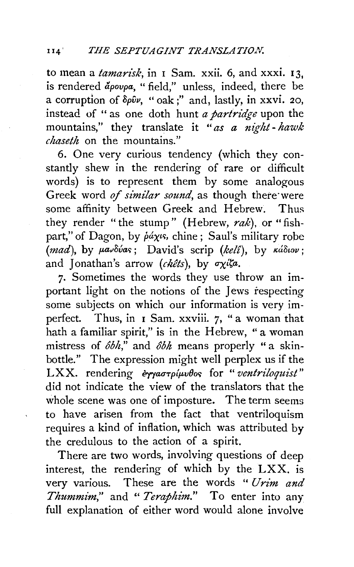### 114' *THE SEPTUAGINT TRANSLATION.*

to mean a *tamarisk*; in I Sam. xxii. 6, and xxxi. 13, is rendered apovpa, "field," unless, indeed, there be a corruption of  $\delta \rho \hat{v}$ , " oak;" and, lastly, in xxvi. 20, instead of "as one cloth hunt *a partridge* upon the mountains," they translate it *"as a night- hawk chaseth* on the mountains."

6. One very curious tendency (which they constantly shew in the rendering of rare or difficult words) is to represent them by some analogous Greek word *of similar sound*, as though there were some affinity between Greek and Hebrew. Thus they render "the stump" (Hebrew, rak), or "fishpart," of Dagon, by  $\dot{p}a\chi v s$ , chine; Saul's military robe  $(mad)$ , by  $\mu a\nu \delta \nu a$ ; David's scrip *(kelî)*, by  $\kappa a \delta \nu$ ; and Jonathan's arrow *(chêts)*, by  $\sigma \chi i\zeta a$ .

7· Sometimes the words they use throw an important light on the notions of the Jews respecting some subjects on which our information is very imperfect. Thus, in 1 Sam. xxviii. 7, "a woman that hath a familiar spirit," is in the Hebrew, "a woman mistress of  $\delta b h$ ," and  $\delta b h$  means properly "a skinbottle." The expression might well perplex us if the LXX. rendering εγγαστρίμυθος for "ventriloquist" did not indicate the view of the translators that the whole scene was one of imposture. The term seems to have arisen from the fact that ventriloquism requires a kind of inflation, which was attributed by the credulous to the action of a spirit.

There are two words, involving questions of deep interest, the rendering of which by the LXX. is very various. These are the words " Urim and *Thummim,"* and *"Teraphim."* To enter into any full explanation of either word would alone involve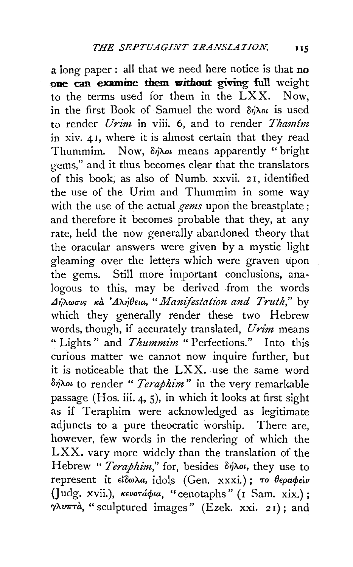a iong paper : all that we need here notice is that no one can examine them without giving full weight to the terms used for them in the LXX. Now, in the first Book of Samuel the word  $\delta n \lambda \omega$  is used to render *Urim* in viii. 6, and to render *Thamfm*  in xiv. 41, where it is almost certain that they read Thummim. Now, δήλοι means apparently " bright gems," and it thus becomes clear that the translators of this book, as also of Numb. xxvii. *2* 1, identified the use of the Urim and Thummim in some way with the use of the actual *gems* upon the breastplate; and therefore it becomes probable that they, at any rate, held the now generally abandoned theory that the oracular answers were given by a mystic light gleaming over the letters which were graven upon the gems. Still more important conclusions, analogous to this, may be derived from the words  $\Delta$ ήλωσις κ*α* 'Αλήθεια, "Manifestation and Truth," by which they generally render these two Hebrew words, though, if accurately translated, *Urim* means "Lights" and *Thummim* "Perfections." Into this curious matter we cannot now inquire further, but it is noticeable that the LXX. use the same word δήλοι to render " *Teraphim*" in the very remarkable passage (Hos. iii. 4, 5), in which it looks at first sight as if Teraphim were acknowledged as legitimate adjuncts to a pure theocratic worship. There are, however, few words in the rendering of which the LXX. vary more widely than the translation of the Hebrew "*Teraphim*," for, besides δήλοι, they use to represent it *εΐδωλα*, *idols* (Gen. xxxi.); *το θεραφείν* (Judg. xvii.), кенотафиа, "cenotaphs" (1 Sam. xix.);  $\gamma\lambda\nu\pi\tau\dot{a}$ , " sculptured images" (Ezek. xxi. 21); and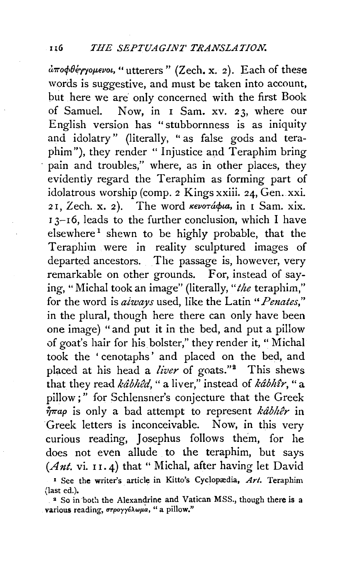$d\pi$ офθέγγομενοι, "utterers" (Zech. x. 2). Each of these words is suggestive, and must be taken into account, but here we are only concerned with the first Book of Samuel. Now, in I Sam. xv. 23, where our English version has "stubbornness is as iniquity and idolatry" (literally, " as false gods and teraphim"), they render "Injustice and Teraphim bring pain and troubles," where, as in other places, they evidently regard the Teraphim as forming part of idolatrous worship (comp. 2 Kings xxiii. 24, Gen. xxi. 21, Zech. x. 2). The word *KevoTábia*, in I Sam. xix. <sup>I</sup>3-I6, leads to the further conclusion, which I have  $e$ lsewhere<sup>1</sup> shewn to be highly probable, that the Teraphim were in reality sculptured images of departed ancestors. The passage is, however, very remarkable on other grounds. For, instead of saying, "Michal took an image" (literally," *the* teraphim," for the word is *aiways* used, like the Latin" *Penates,"*  in the plural, though here there can only have been one image) "and put it in the bed, and put a pillow of goat's hair for his bolster," they render it," Michal took the ' cenotaphs ' and placed on the bed, and placed at his head a *liver* of goats."<sup>2</sup> This shews that they read  $k\hat{a}b\hat{b}\hat{c}d$ , "a liver," instead of  $k\hat{a}b\hat{h}\hat{i}r$ , "a pillow;" for Schlensner's conjecture that the Greek  $\bar{\hat{\eta}}$ *rap* is only a bad attempt to represent kabher in Greek letters is inconceivable. Now, in this very curious reading, Josephus follows them, for he does not even allude to the teraphim, but says *(Ant.* vi. 11. 4) that " Michal, after having let David <sup>1</sup> See the writer's article in Kitto's Cyclopædia,  $Art.$  Teraphim (last ed.).

<sup>2</sup> So in both the Alexandrine and Vatican MSS., though there is a various reading, στρογγύλωμα, "a pillow."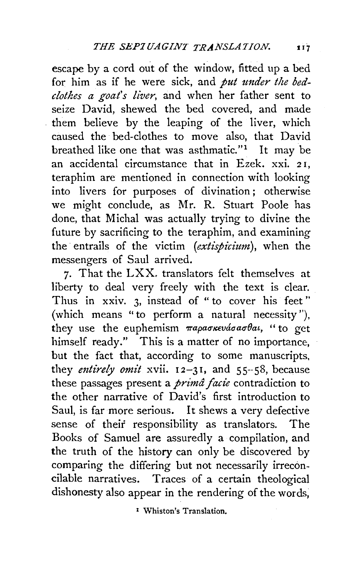escape by a cord out of the window, fitted up a bed for him as if he were sick, and *put under the bedclothes a goat's liver,* and when her father sent to seize David, shewed the bed covered, and made them believe by the leaping of the liver, which caused the bed-clothes to move also, that David breathed like one that was asthmatic."<sup>1</sup> It may be an accidental circumstance that in Ezek. xxi. 2 I, teraphim are mentioned in connection with looking into livers for purposes of divination ; otherwise we might conclude, as Mr. R. Stuart Poole has done, that Michal was actually trying to divine the future by sacrificing to the teraphim, and examining the entrails of the victim (extispicium), when the messengers of Saul arrived.

7· That the LXX. translators felt themselves at liberty to deal very freely with the text is clear. Thus in xxiv. 3, instead of " to cover his feet" (which means "to perform a natural necessity''), they use the euphemism  $\pi$ *apao* $\kappa$ *vadaao* $\theta$ *at*, "to get himself ready." This is a matter of no importance, but the fact that, according to some manuscripts, they *entirely omit xvii.*  $12-31$ , and  $55-58$ , because these passages present a *prima fade* contradiction to the other narrative of David's first introduction to Saul, is far more serious. It shews a very defective sense of their responsibility as translators. The Books of Samuel are assuredly a compilation, and the truth of the history can only be discovered by comparing the differing but not necessarily irreconcilable narratives. Traces of a certain theological dishonesty also appear in the rendering of the words,

I Whiston's Translation.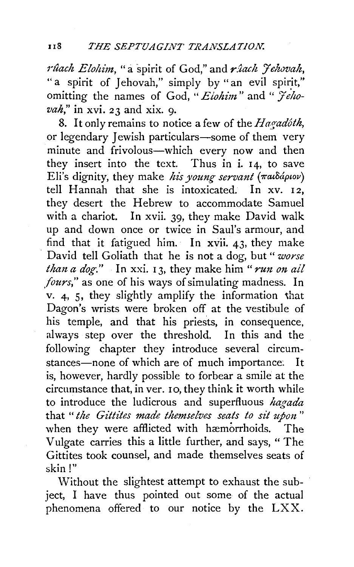*rûach Elohim*, "a spirit of God," and *rîach Jehovah*, "a spirit of Jehovah," simply by "an evil spirit," omitting the names of God, "Elohim" and "  $\widetilde{\mathcal{F}}$ eho*vah*," in xvi. 23 and xix. 9.

8. It only remains to notice a few of the *Hagadoth*, or legendary Jewish particulars-some of them very minute and frivolous-which every now and then they insert into the text. Thus in i. 14, to save Eli's dignity, they make *his young servant* (παιδάριον) tell Hannah that she is intoxicated. In xv. 12, they desert the Hebrew to accommodate Samuel with a chariot. In xvii. 39, they make David walk up and down once or twice in Saul's armour, and find that it fatigued him. In xvii. 43, they make David tell Goliath that he is not a dog, but" *worse than a dog.*" In xxi. 13, they make him "*run on ail fours,''* as one of his ways of simulating madness. In v. 4, 5, they slightly amplify the information that Dagon's wrists were broken off at the vestibule of his temple, and that his priests, in consequence, always step over the threshold. In this and the following chapter they introduce several circumstances-none of which are of much importance. It is, however, hardly possible to forbear a smile at the circumstance that, in ver. 10, they think it worth while to introduce the ludicrous and superfluous *hagada*  that *"the Gittites made themselves seats to sit upon* " when they were afflicted with hæmorrhoids. The Vulgate carries this a little further, and says, "The Gittites took counsel, and made themselves seats of skin!"

Without the slightest attempt to exhaust the subject, I have thus pointed out some of the actual phenomena offered to our notice by the LXX.